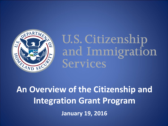

U.S. Citizenship and Immigration **Services** 

**An Overview of the Citizenship and Integration Grant Program January 19, 2016**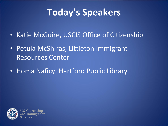# **Today's Speakers**

- Katie McGuire, USCIS Office of Citizenship
- Petula McShiras, Littleton Immigrant Resources Center
- Homa Naficy, Hartford Public Library

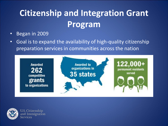- Began in 2009
- Goal is to expand the availability of high-quality citizenship preparation services in communities across the nation



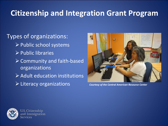Types of organizations:

- $\triangleright$  Public school systems
- $\triangleright$  Public libraries
- $\triangleright$  Community and faith-based organizations
- $\triangleright$  Adult education institutions
- Literacy organizations *Courtesy of the Central American Resource Center*



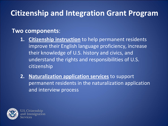#### **Two components**:

- **1. Citizenship instruction** to help permanent residents improve their English language proficiency, increase their knowledge of U.S. history and civics, and understand the rights and responsibilities of U.S. citizenship
- **2. Naturalization application services** to support permanent residents in the naturalization application and interview process

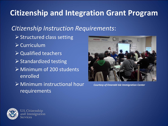#### *Citizenship Instruction Requirements*:

- $\triangleright$  Structured class setting
- $\triangleright$  Curriculum
- **▶ Qualified teachers**
- $\triangleright$  Standardized testing
- Minimum of 200 students enrolled
- Minimum instructional hour requirements



*Courtesy of Emerald Isle Immigration Center*

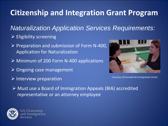*Naturalization Application Services Requirements*:

- $\triangleright$  Eligibility screening
- $\triangleright$  Preparation and submission of Form N-400, Application for Naturalization
- **► Minimum of 200 Form N-400 applications**
- $\triangleright$  Ongoing case management
- Interview preparation *Courtesy of Emerald Isle Immigration Center*



 Must use a Board of Immigration Appeals (BIA) accredited representative or an attorney employee

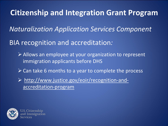*Naturalization Application Services Component*

#### BIA recognition and accreditation*:*

- Allows an employee at your organization to represent immigration applicants before DHS
- $\triangleright$  Can take 6 months to a year to complete the process
- [http://www.justice.gov/eoir/recognition-and](http://www.justice.gov/eoir/recognition-and-accreditation-program)[accreditation-program](http://www.justice.gov/eoir/recognition-and-accreditation-program)

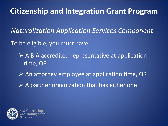*Naturalization Application Services Component*

To be eligible, you must have:

- $\triangleright$  A BIA accredited representative at application time, OR
- $\triangleright$  An attorney employee at application time, OR
- $\triangleright$  A partner organization that has either one

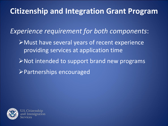*Experience requirement for both components*:

- Must have several years of recent experience providing services at application time
- $\triangleright$  Not intended to support brand new programs **Partnerships encouraged**

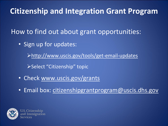How to find out about grant opportunities:

• Sign up for updates:

<http://www.uscis.gov/tools/get-email-updates>

Select "Citizenship" topic

- Check [www.uscis.gov/grants](http://www.uscis.gov/grants)
- Email box: [citizenshipgrantprogram@uscis.dhs.gov](mailto:citizenshipgrantprogram@uscis.dhs.gov)

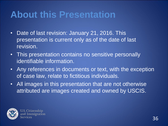## **About this Presentation**

- Date of last revision: January 21, 2016. This presentation is current only as of the date of last revision.
- This presentation contains no sensitive personally identifiable information.
- Any references in documents or text, with the exception of case law, relate to fictitious individuals.
- All images in this presentation that are not otherwise attributed are images created and owned by USCIS.